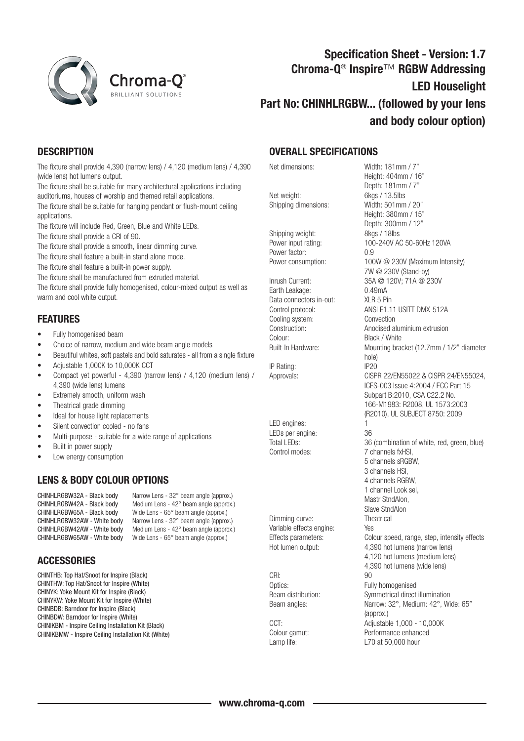

# Specification Sheet - Version: 1.7 Chroma-Q<sup>®</sup> Inspire™ RGBW Addressing LED Houselight Part No: CHINHLRGBW... (followed by your lens and body colour option)

## **DESCRIPTION**

The fixture shall provide 4,390 (narrow lens) / 4,120 (medium lens) / 4,390 (wide lens) hot lumens output.

The fixture shall be suitable for many architectural applications including auditoriums, houses of worship and themed retail applications.

The fixture shall be suitable for hanging pendant or flush-mount ceiling applications.

The fixture will include Red, Green, Blue and White LEDs.

The fixture shall provide a CRI of 90.

The fixture shall provide a smooth, linear dimming curve.

The fixture shall feature a built-in stand alone mode.

The fixture shall feature a built-in power supply.

The fixture shall be manufactured from extruded material.

The fixture shall provide fully homogenised, colour-mixed output as well as warm and cool white output.

### FEATURES

- Fully homogenised beam
- Choice of narrow, medium and wide beam angle models
- Beautiful whites, soft pastels and bold saturates all from a single fixture
- Adjustable 1,000K to 10,000K CCT
- Compact yet powerful 4,390 (narrow lens) / 4,120 (medium lens) / 4,390 (wide lens) lumens
- Extremely smooth, uniform wash
- Theatrical grade dimming
- Ideal for house light replacements
- Silent convection cooled no fans
- Multi-purpose suitable for a wide range of applications
- Built in power supply
- Low energy consumption

#### LENS & BODY COLOUR OPTIONS

CHINHLRGBW32A - Black body Narrow Lens - 32° beam angle (approx.)<br>CHINHLRGBW42A - Black body Medium Lens - 42° beam angle (approx. CHINHLRGBW42A - Black body Medium Lens -  $42^{\circ}$  beam angle (approx.)<br>CHINHLRGBW65A - Black body Wide Lens -  $65^{\circ}$  beam angle (approx.) Wide Lens - 65° beam angle (approx.) CHINHLRGBW32AW - White body Narrow Lens - 32° beam angle (approx.)<br>CHINHLRGBW42AW - White body Medium Lens - 42° beam angle (approx.) Medium Lens - 42 $^{\circ}$  beam angle (approx.) CHINHLRGBW65AW - White body Wide Lens - 65° beam angle (approx.)

#### **ACCESSORIES**

CHINTHB: Top Hat/Snoot for Inspire (Black) CHINTHW: Top Hat/Snoot for Inspire (White) CHINYK: Yoke Mount Kit for Inspire (Black) CHINYKW: Yoke Mount Kit for Inspire (White) CHINBDB: Barndoor for Inspire (Black) CHINBDW: Barndoor for Inspire (White) CHINIKBM - Inspire Ceiling Installation Kit (Black) CHINIKBMW - Inspire Ceiling Installation Kit (White)

#### OVERALL SPECIFICATIONS

Net weight: 6kgs / 13.5lbs Shipping dimensions: Width: 501mm / 20"

Shipping weight: 8kgs / 18lbs Power factor: 0.9

Earth Leakage: 0.49mA Data connectors in-out: XLR 5 Pin Cooling system: Convection Colour: Black / White<br>Built-In Hardware: Mounting bra

IP Rating: IP20

LED engines: LEDs per engine: 36

Dimming curve: Theatrical Variable effects engine: Yes

CRI: 90

Net dimensions: Width: 181mm / 7" Height: 404mm / 16" Depth: 181mm / 7" Height: 380mm / 15" Depth: 300mm / 12" Power input rating: 100-240V AC 50-60Hz 120VA Power consumption: 100W @ 230V (Maximum Intensity) 7W @ 230V (Stand-by) Inrush Current: 35A @ 120V; 71A @ 230V Control protocol: ANSI E1.11 USITT DMX-512A Construction: Anodised aluminium extrusion Mounting bracket (12.7mm / 1/2" diameter hole) Approvals: CISPR 22/EN55022 & CISPR 24/EN55024, ICES-003 Issue 4:2004 / FCC Part 15 Subpart B:2010, CSA C22.2 No. 166-M1983: R2008, UL 1573:2003 (R2010), UL SUBJECT 8750: 2009 Total LEDs: 36 (combination of white, red, green, blue) Control modes: 7 channels fxHSI, 5 channels sRGBW, 3 channels HSI, 4 channels RGBW, 1 channel Look sel, Mastr StndAlon, Slave StndAlon Effects parameters: Colour speed, range, step, intensity effects Hot lumen output: 4,390 hot lumens (narrow lens) 4,120 hot lumens (medium lens) 4,390 hot lumens (wide lens) Optics: Fully homogenised Beam distribution: Symmetrical direct illumination Beam angles: Narrow: 32°, Medium: 42°, Wide: 65° (approx.) CCT: Adjustable 1,000 - 10,000 K Colour gamut: Performance enhanced Lamp life: Lamp life: L70 at 50,000 hour